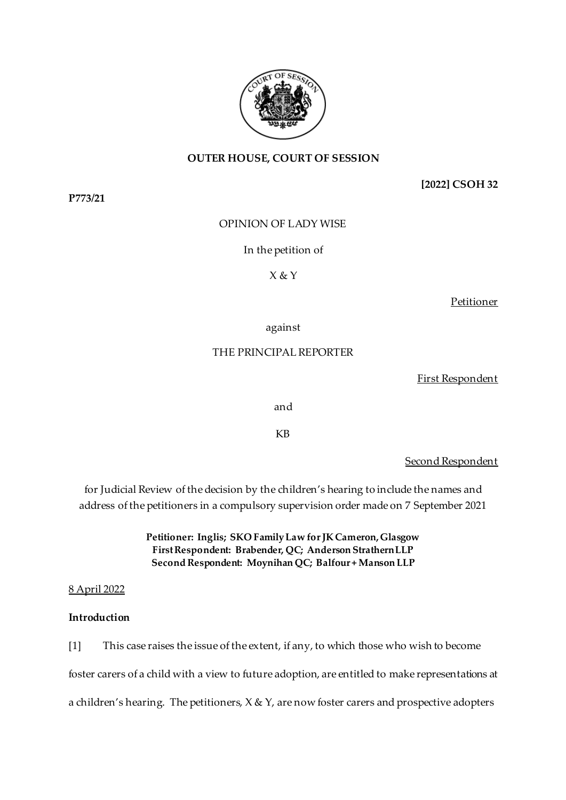

**[2022] CSOH 32**

OPINION OF LADY WISE

### In the petition of

### X & Y

**Petitioner** 

against

### THE PRINCIPAL REPORTER

First Respondent

and

KB

Second Respondent

for Judicial Review of the decision by the children's hearing to include the names and address of the petitioners in a compulsory supervision order made on 7 September 2021

> **Petitioner: Inglis; SKO Family Law for JK Cameron, Glasgow First Respondent: Brabender, QC; Anderson Strathern LLP Second Respondent: Moynihan QC; Balfour + Manson LLP**

#### 8 April 2022

#### **Introduction**

[1] This case raises the issue of the extent, if any, to which those who wish to become foster carers of a child with a view to future adoption, are entitled to make representations at a children's hearing. The petitioners,  $X & Y$ , are now foster carers and prospective adopters

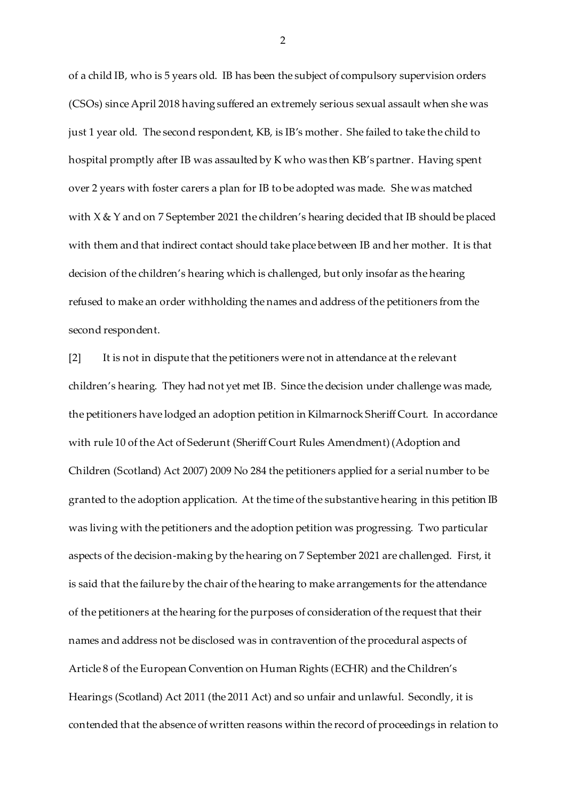of a child IB, who is 5 years old. IB has been the subject of compulsory supervision orders (CSOs) since April 2018 having suffered an extremely serious sexual assault when she was just 1 year old. The second respondent, KB, is IB's mother. She failed to take the child to hospital promptly after IB was assaulted by K who was then KB's partner. Having spent over 2 years with foster carers a plan for IB to be adopted was made. She was matched with X & Y and on 7 September 2021 the children's hearing decided that IB should be placed with them and that indirect contact should take place between IB and her mother. It is that decision of the children's hearing which is challenged, but only insofar as the hearing refused to make an order withholding the names and address of the petitioners from the second respondent.

[2] It is not in dispute that the petitioners were not in attendance at the relevant children's hearing. They had not yet met IB. Since the decision under challenge was made, the petitioners have lodged an adoption petition in Kilmarnock Sheriff Court. In accordance with rule 10 of the Act of Sederunt (Sheriff Court Rules Amendment) (Adoption and Children (Scotland) Act 2007) 2009 No 284 the petitioners applied for a serial number to be granted to the adoption application. At the time of the substantive hearing in this petition IB was living with the petitioners and the adoption petition was progressing. Two particular aspects of the decision-making by the hearing on 7 September 2021 are challenged. First, it is said that the failure by the chair of the hearing to make arrangements for the attendance of the petitioners at the hearing for the purposes of consideration of the request that their names and address not be disclosed was in contravention of the procedural aspects of Article 8 of the European Convention on Human Rights (ECHR) and the Children's Hearings (Scotland) Act 2011 (the 2011 Act) and so unfair and unlawful. Secondly, it is contended that the absence of written reasons within the record of proceedings in relation to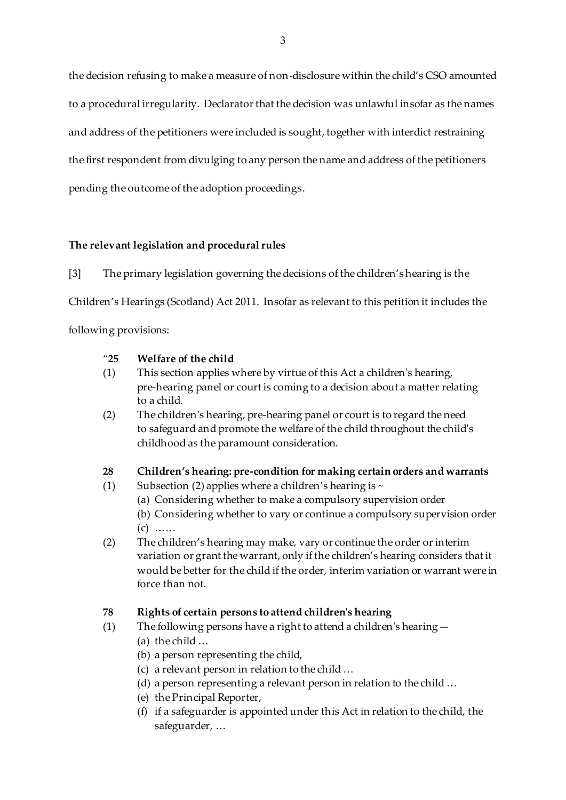the decision refusing to make a measure of non-disclosure within the child's CSO amounted to a procedural irregularity. Declarator that the decision was unlawful insofar as the names and address of the petitioners were included is sought, together with interdict restraining the first respondent from divulging to any person the name and address of the petitioners pending the outcome of the adoption proceedings.

## **The relevant legislation and procedural rules**

[3] The primary legislation governing the decisions of the children's hearing is the Children's Hearings (Scotland) Act 2011. Insofar as relevant to this petition it includes the following provisions:

### "**25 Welfare of the child**

- (1) This section applies where by virtue of this Act a children's hearing, pre-hearing panel or court is coming to a decision about a matter relating to a child.
- (2) The children's hearing, pre-hearing panel or court is to regard the need to safeguard and promote the welfare of the child throughout the child's childhood as the paramount consideration.

## **28 Children's hearing: pre-condition for making certain orders and warrants**

- (1) Subsection (2) applies where a children's hearing is  $\sim$ 
	- (a) Considering whether to make a compulsory supervision order

(b) Considering whether to vary or continue a compulsory supervision order (c) ……

(2) The children's hearing may make, vary or continue the order or interim variation or grant the warrant, only if the children's hearing considers that it would be better for the child if the order, interim variation or warrant were in force than not.

## **78 Rights of certain persons to attend children's hearing**

- (1) The following persons have a right to attend a children's hearing—
	- (a) the child …
	- (b) a person representing the child,
	- (c) a relevant person in relation to the child …
	- (d) a person representing a relevant person in relation to the child …
	- (e) the Principal Reporter,
	- (f) if a safeguarder is appointed under this Act in relation to the child, the safeguarder, …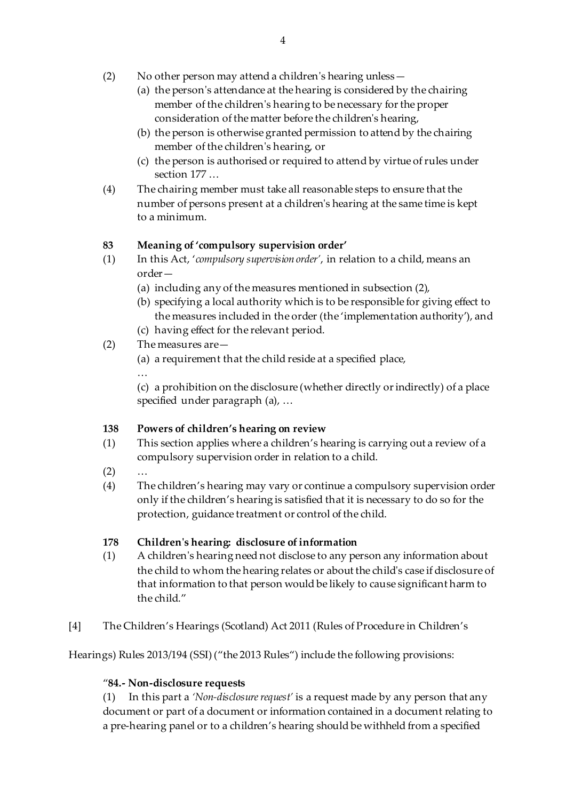- (2) No other person may attend a children's hearing unless—
	- (a) the person's attendance at the hearing is considered by the chairing member of the children's hearing to be necessary for the proper consideration of the matter before the children's hearing,
	- (b) the person is otherwise granted permission to attend by the chairing member of the children's hearing, or
	- (c) the person is authorised or required to attend by virtue of rules under section 177 …
- (4) The chairing member must take all reasonable steps to ensure that the number of persons present at a children's hearing at the same time is kept to a minimum.

# **83 Meaning of 'compulsory supervision order'**

- (1) In this Act, '*compulsory supervision order'*, in relation to a child, means an order—
	- (a) including any of the measures mentioned in subsection (2),
	- (b) specifying a local authority which is to be responsible for giving effect to the measures included in the order (the 'implementation authority'), and
	- (c) having effect for the relevant period.
- (2) The measures are—
	- (a) a requirement that the child reside at a specified place,
	- …

(c) a prohibition on the disclosure (whether directly or indirectly) of a place specified under paragraph (a), …

## **138 Powers of children's hearing on review**

- (1) This section applies where a children's hearing is carrying out a review of a compulsory supervision order in relation to a child.
- $(2) \qquad ...$
- (4) The children's hearing may vary or continue a compulsory supervision order only if the children's hearing is satisfied that it is necessary to do so for the protection, guidance treatment or control of the child.

## **178 Children's hearing: disclosure of information**

- (1) A children's hearing need not disclose to any person any information about the child to whom the hearing relates or about the child's case if disclosure of that information to that person would be likely to cause significant harm to the child."
- [4] The Children's Hearings (Scotland) Act 2011 (Rules of Procedure in Children's

Hearings) Rules 2013/194 (SSI) ("the 2013 Rules") include the following provisions:

## "**84.- Non-disclosure requests**

(1) In this part a *'Non-disclosure request'* is a request made by any person that any document or part of a document or information contained in a document relating to a pre-hearing panel or to a children's hearing should be withheld from a specified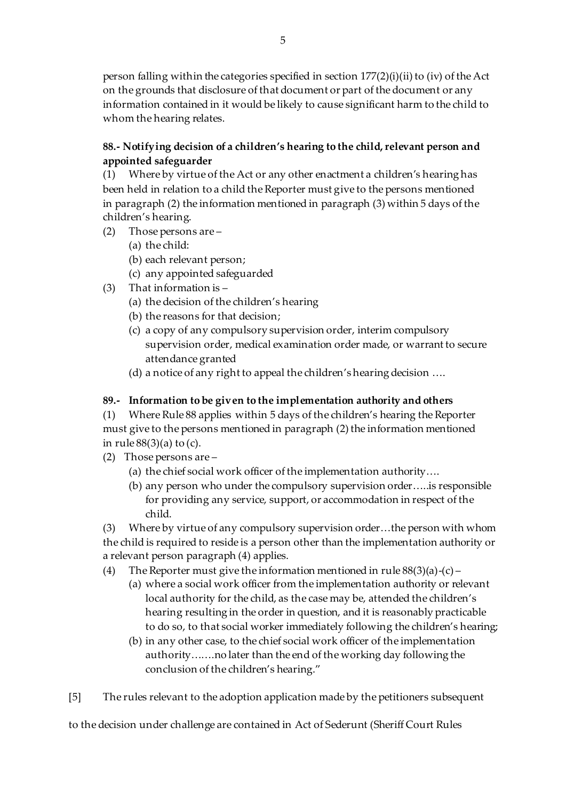person falling within the categories specified in section  $177(2)(i)(ii)$  to (iv) of the Act on the grounds that disclosure of that document or part of the document or any information contained in it would be likely to cause significant harm to the child to whom the hearing relates.

# **88.- Notifying decision of a children's hearing to the child, relevant person and appointed safeguarder**

(1) Where by virtue of the Act or any other enactment a children's hearing has been held in relation to a child the Reporter must give to the persons mentioned in paragraph (2) the information mentioned in paragraph (3) within 5 days of the children's hearing.

- (2) Those persons are
	- (a) the child:
	- (b) each relevant person;
	- (c) any appointed safeguarded
- (3) That information is
	- (a) the decision of the children's hearing
	- (b) the reasons for that decision;
	- (c) a copy of any compulsory supervision order, interim compulsory supervision order, medical examination order made, or warrant to secure attendance granted
	- (d) a notice of any right to appeal the children's hearing decision ….

## **89.- Information to be given to the implementation authority and others**

(1) Where Rule 88 applies within 5 days of the children's hearing the Reporter must give to the persons mentioned in paragraph (2) the information mentioned in rule  $88(3)(a)$  to (c).

- (2) Those persons are
	- (a) the chief social work officer of the implementation authority….
	- (b) any person who under the compulsory supervision order…..is responsible for providing any service, support, or accommodation in respect of the child.

(3) Where by virtue of any compulsory supervision order…the person with whom the child is required to reside is a person other than the implementation authority or a relevant person paragraph (4) applies.

- (4) The Reporter must give the information mentioned in rule  $88(3)(a)-(c)$ 
	- (a) where a social work officer from the implementation authority or relevant local authority for the child, as the case may be, attended the children's hearing resulting in the order in question, and it is reasonably practicable to do so, to that social worker immediately following the children's hearing;
	- (b) in any other case, to the chief social work officer of the implementation authority…….no later than the end of the working day following the conclusion of the children's hearing."
- [5] The rules relevant to the adoption application made by the petitioners subsequent

to the decision under challenge are contained in Act of Sederunt (Sheriff Court Rules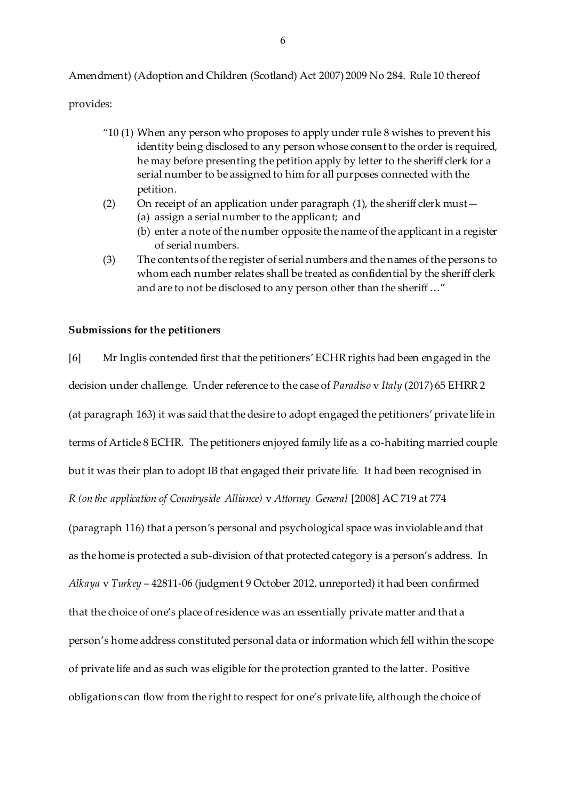Amendment) (Adoption and Children (Scotland) Act 2007) 2009 No 284. Rule 10 thereof

provides:

- $"10(1)$  When any person who proposes to apply under rule 8 wishes to prevent his identity being disclosed to any person whose consent to the order is required, he may before presenting the petition apply by letter to the sheriff clerk for a serial number to be assigned to him for all purposes connected with the petition.
- (2) On receipt of an application under paragraph (1), the sheriff clerk must—
	- (a) assign a serial number to the applicant; and
	- (b) enter a note of the number opposite the name of the applicant in a register of serial numbers.
- (3) The contents of the register of serial numbers and the names of the persons to whom each number relates shall be treated as confidential by the sheriff clerk and are to not be disclosed to any person other than the sheriff …"

#### **Submissions for the petitioners**

[6] Mr Inglis contended first that the petitioners'ECHR rights had been engaged in the decision under challenge. Under reference to the case of *Paradiso* v *Italy* (2017) 65 EHRR 2 (at paragraph 163) it was said that the desire to adopt engaged the petitioners' private life in terms of Article 8 ECHR. The petitioners enjoyed family life as a co-habiting married couple but it was their plan to adopt IB that engaged their private life. It had been recognised in *R (on the application of Countryside Alliance)* v *Attorney General* [2008] AC 719 at 774 (paragraph 116) that a person's personal and psychological space was inviolable and that as the home is protected a sub-division of that protected category is a person's address. In *Alkaya* v *Turkey* – 42811-06 (judgment 9 October 2012, unreported) it had been confirmed that the choice of one's place of residence was an essentially private matter and that a person's home address constituted personal data or information which fell within the scope of private life and as such was eligible for the protection granted to the latter. Positive obligations can flow from the right to respect for one's private life, although the choice of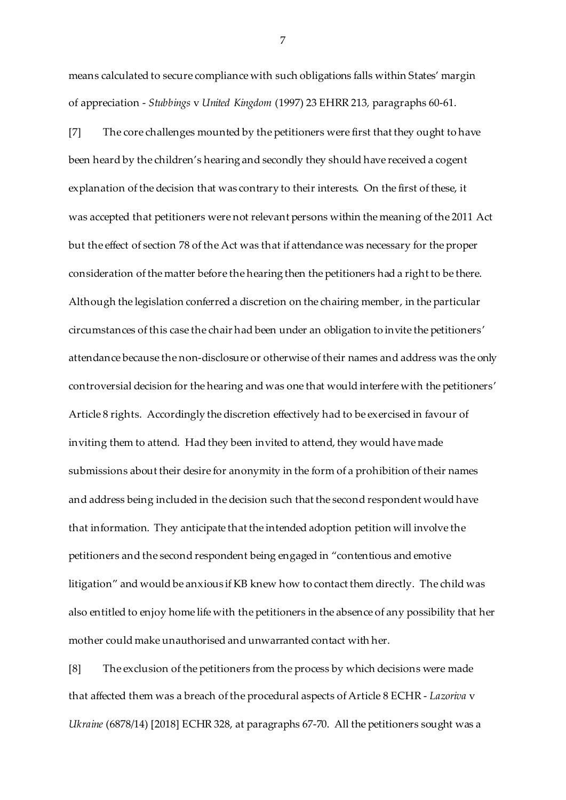means calculated to secure compliance with such obligations falls within States' margin of appreciation - *Stubbings* v *United Kingdom* (1997) 23 EHRR 213*,* paragraphs 60-61.

[7] The core challenges mounted by the petitioners were first that they ought to have been heard by the children's hearing and secondly they should have received a cogent explanation of the decision that was contrary to their interests. On the first of these, it was accepted that petitioners were not relevant persons within the meaning of the 2011 Act but the effect of section 78 of the Act was that if attendance was necessary for the proper consideration of the matter before the hearing then the petitioners had a right to be there. Although the legislation conferred a discretion on the chairing member, in the particular circumstances of this case the chair had been under an obligation to invite the petitioners' attendance because the non-disclosure or otherwise of their names and address was the only controversial decision for the hearing and was one that would interfere with the petitioners' Article 8 rights. Accordingly the discretion effectively had to be exercised in favour of inviting them to attend. Had they been invited to attend, they would have made submissions about their desire for anonymity in the form of a prohibition of their names and address being included in the decision such that the second respondent would have that information. They anticipate that the intended adoption petition will involve the petitioners and the second respondent being engaged in "contentious and emotive litigation" and would be anxious if KB knew how to contact them directly. The child was also entitled to enjoy home life with the petitioners in the absence of any possibility that her mother could make unauthorised and unwarranted contact with her.

[8] The exclusion of the petitioners from the process by which decisions were made that affected them was a breach of the procedural aspects of Article 8 ECHR - *Lazoriva* v *Ukraine* (6878/14) [2018] ECHR 328, at paragraphs 67-70. All the petitioners sought was a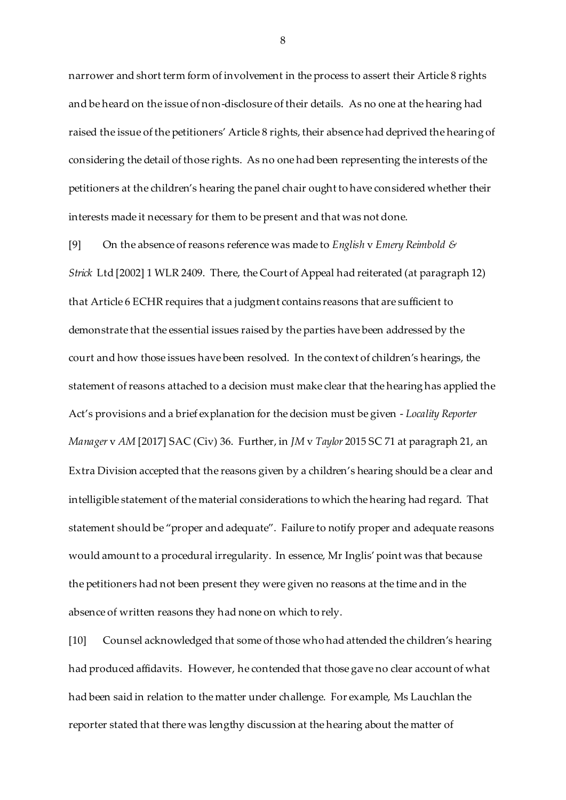narrower and short term form of involvement in the process to assert their Article 8 rights and be heard on the issue of non-disclosure of their details. As no one at the hearing had raised the issue of the petitioners' Article 8 rights, their absence had deprived the hearing of considering the detail of those rights. As no one had been representing the interests of the petitioners at the children's hearing the panel chair ought to have considered whether their interests made it necessary for them to be present and that was not done.

[9] On the absence ofreasons reference was made to *English* v *Emery Reimbold & Strick* Ltd [2002] 1 WLR 2409. There, the Court of Appeal had reiterated (at paragraph 12) that Article 6 ECHR requires that a judgment contains reasons that are sufficient to demonstrate that the essential issues raised by the parties have been addressed by the court and how those issues have been resolved. In the context of children's hearings, the statement of reasons attached to a decision must make clear that the hearing has applied the Act's provisions and a brief explanation for the decision must be given - *Locality Reporter Manager* v *AM* [2017] SAC (Civ) 36. Further, in *JM* v *Taylor* 2015 SC 71 at paragraph 21, an Extra Division accepted that the reasons given by a children's hearing should be a clear and intelligible statement of the material considerations to which the hearing had regard. That statement should be "proper and adequate". Failure to notify proper and adequate reasons would amount to a procedural irregularity. In essence, Mr Inglis' point was that because the petitioners had not been present they were given no reasons at the time and in the absence of written reasons they had none on which to rely.

[10] Counsel acknowledged that some of those who had attended the children's hearing had produced affidavits. However, he contended that those gave no clear account of what had been said in relation to the matter under challenge. For example, Ms Lauchlan the reporter stated that there was lengthy discussion at the hearing about the matter of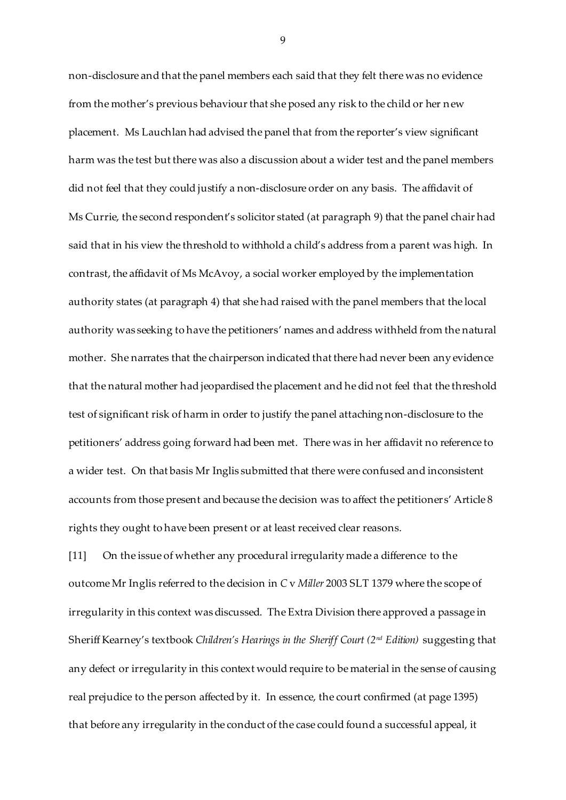non-disclosure and that the panel members each said that they felt there was no evidence from the mother's previous behaviour that she posed any risk to the child or her new placement. Ms Lauchlan had advised the panel that from the reporter's view significant harm was the test but there was also a discussion about a wider test and the panel members did not feel that they could justify a non-disclosure order on any basis. The affidavit of Ms Currie, the second respondent's solicitor stated (at paragraph 9) that the panel chair had said that in his view the threshold to withhold a child's address from a parent was high. In contrast, the affidavit of Ms McAvoy, a social worker employed by the implementation authority states (at paragraph 4) that she had raised with the panel members that the local authority was seeking to have the petitioners' names and address withheld from the natural mother. She narrates that the chairperson indicated that there had never been any evidence that the natural mother had jeopardised the placement and he did not feel that the threshold test of significant risk of harm in order to justify the panel attaching non-disclosure to the petitioners' address going forward had been met. There was in her affidavit no reference to a wider test. On that basis Mr Inglis submitted that there were confused and inconsistent accounts from those present and because the decision was to affect the petitioners' Article 8 rights they ought to have been present or at least received clear reasons.

[11] On the issue of whether any procedural irregularity made a difference to the outcome Mr Inglis referred to the decision in *C* v *Miller* 2003 SLT 1379 where the scope of irregularity in this context was discussed. The Extra Division there approved a passage in Sheriff Kearney's textbook *Children's Hearings in the Sheriff Court (2nd Edition)* suggesting that any defect or irregularity in this context would require to be material in the sense of causing real prejudice to the person affected by it. In essence, the court confirmed (at page 1395) that before any irregularity in the conduct of the case could found a successful appeal, it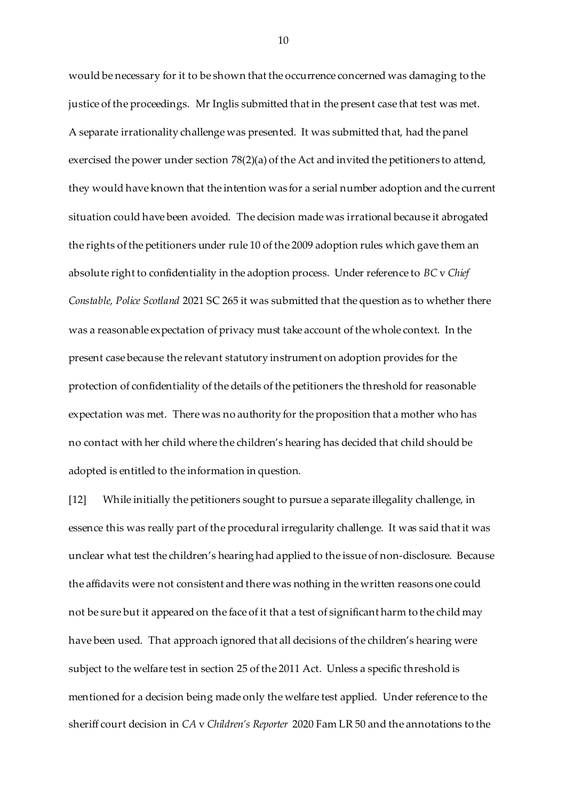would be necessary for it to be shown that the occurrence concerned was damaging to the justice of the proceedings. Mr Inglis submitted that in the present case that test was met. A separate irrationality challenge was presented. It was submitted that, had the panel exercised the power under section 78(2)(a) of the Act and invited the petitioners to attend, they would have known that the intention was for a serial number adoption and the current situation could have been avoided. The decision made was irrational because it abrogated the rights of the petitioners under rule 10 of the 2009 adoption rules which gave them an absolute right to confidentiality in the adoption process. Under reference to *BC* v *Chief Constable, Police Scotland* 2021 SC 265 it was submitted that the question as to whether there was a reasonable expectation of privacy must take account of the whole context. In the present case because the relevant statutory instrument on adoption provides for the protection of confidentiality of the details of the petitioners the threshold for reasonable expectation was met. There was no authority for the proposition that a mother who has no contact with her child where the children's hearing has decided that child should be adopted is entitled to the information in question.

[12] While initially the petitioners sought to pursue a separate illegality challenge, in essence this was really part of the procedural irregularity challenge. It was said that it was unclear what test the children's hearing had applied to the issue of non-disclosure. Because the affidavits were not consistent and there was nothing in the written reasons one could not be sure but it appeared on the face of it that a test of significant harm to the child may have been used. That approach ignored that all decisions of the children's hearing were subject to the welfare test in section 25 of the 2011 Act. Unless a specific threshold is mentioned for a decision being made only the welfare test applied. Under reference to the sheriff court decision in *CA* v *Children's Reporter* 2020 Fam LR 50 and the annotations to the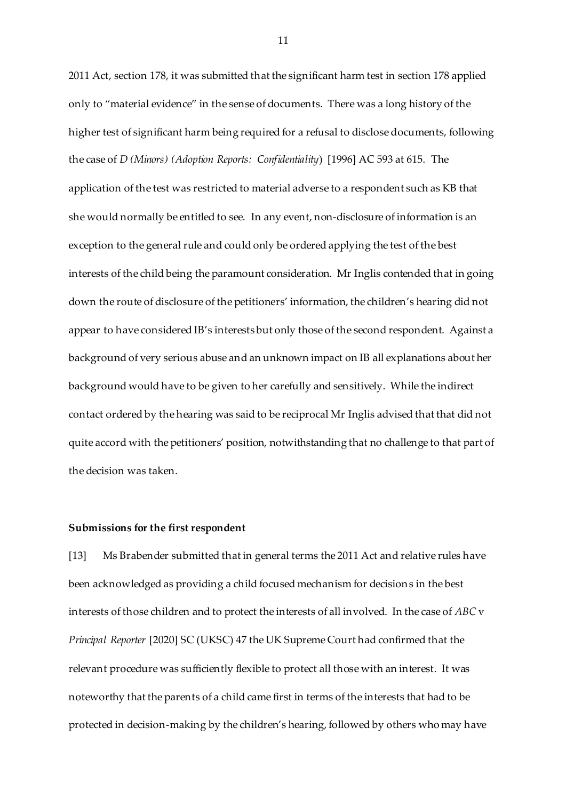2011 Act, section 178, it was submitted that the significant harm test in section 178 applied only to "material evidence" in the sense of documents. There was a long history of the higher test of significant harm being required for a refusal to disclose documents, following the case of *D (Minors) (Adoption Reports: Confidentiality*) [1996] AC 593 at 615. The application of the test was restricted to material adverse to a respondent such as KB that she would normally be entitled to see. In any event, non-disclosure of information is an exception to the general rule and could only be ordered applying the test of the best interests of the child being the paramount consideration. Mr Inglis contended that in going down the route of disclosure of the petitioners' information, the children's hearing did not appear to have considered IB's interests but only those of the second respondent. Against a background of very serious abuse and an unknown impact on IB all explanations about her background would have to be given to her carefully and sensitively. While the indirect contact ordered by the hearing was said to be reciprocal Mr Inglis advised that that did not quite accord with the petitioners' position, notwithstanding that no challenge to that part of the decision was taken.

#### **Submissions for the first respondent**

[13] Ms Brabender submitted that in general terms the 2011 Act and relative rules have been acknowledged as providing a child focused mechanism for decisions in the best interests of those children and to protect the interests of all involved. In the case of *ABC* v *Principal Reporter* [2020] SC (UKSC) 47 the UK Supreme Court had confirmed that the relevant procedure was sufficiently flexible to protect all those with an interest. It was noteworthy that the parents of a child came first in terms of the interests that had to be protected in decision-making by the children's hearing, followed by others who may have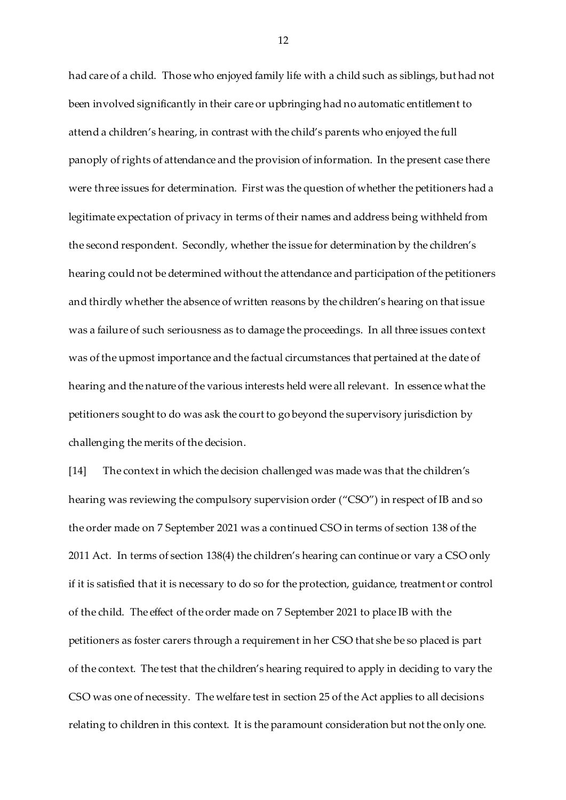had care of a child. Those who enjoyed family life with a child such as siblings, but had not been involved significantly in their care or upbringing had no automatic entitlement to attend a children's hearing, in contrast with the child's parents who enjoyed the full panoply of rights of attendance and the provision of information. In the present case there were three issues for determination. First was the question of whether the petitioners had a legitimate expectation of privacy in terms of their names and address being withheld from the second respondent. Secondly, whether the issue for determination by the children's hearing could not be determined without the attendance and participation of the petitioners and thirdly whether the absence of written reasons by the children's hearing on that issue was a failure of such seriousness as to damage the proceedings. In all three issues context was of the upmost importance and the factual circumstances that pertained at the date of hearing and the nature of the various interests held were all relevant. In essence what the petitioners sought to do was ask the court to go beyond the supervisory jurisdiction by challenging the merits of the decision.

[14] The context in which the decision challenged was made was that the children's hearing was reviewing the compulsory supervision order ("CSO") in respect of IB and so the order made on 7 September 2021 was a continued CSO in terms of section 138 of the 2011 Act. In terms of section 138(4) the children's hearing can continue or vary a CSO only if it is satisfied that it is necessary to do so for the protection, guidance, treatment or control of the child. The effect of the order made on 7 September 2021 to place IB with the petitioners as foster carers through a requirement in her CSO that she be so placed is part of the context. The test that the children's hearing required to apply in deciding to vary the CSO was one of necessity. The welfare test in section 25 of the Act applies to all decisions relating to children in this context. It is the paramount consideration but not the only one.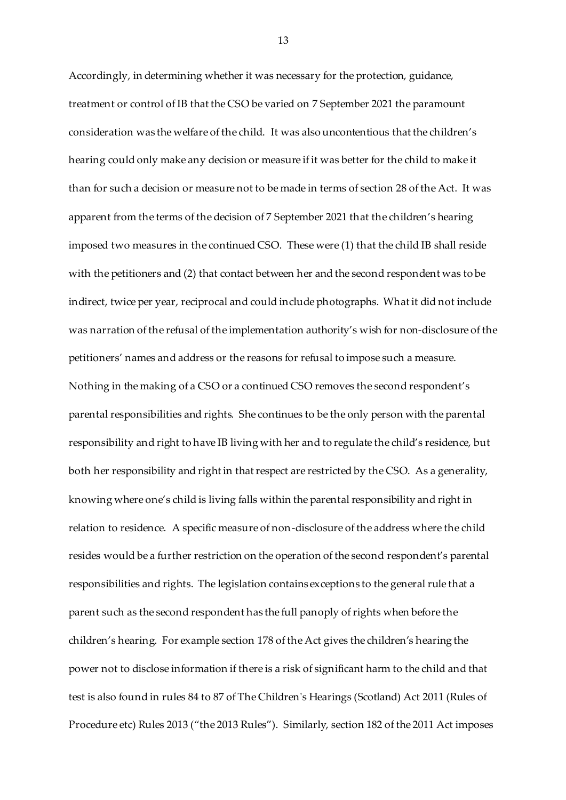Accordingly, in determining whether it was necessary for the protection, guidance, treatment or control of IB that the CSO be varied on 7 September 2021 the paramount consideration was the welfare of the child. It was also uncontentious that the children's hearing could only make any decision or measure if it was better for the child to make it than for such a decision or measure not to be made in terms of section 28 of the Act. It was apparent from the terms of the decision of 7 September 2021 that the children's hearing imposed two measures in the continued CSO. These were (1) that the child IB shall reside with the petitioners and (2) that contact between her and the second respondent was to be indirect, twice per year, reciprocal and could include photographs. What it did not include was narration of the refusal of the implementation authority's wish for non-disclosure of the petitioners' names and address or the reasons for refusal to impose such a measure. Nothing in the making of a CSO or a continued CSO removes the second respondent's parental responsibilities and rights. She continues to be the only person with the parental responsibility and right to have IB living with her and to regulate the child's residence, but both her responsibility and right in that respect are restricted by the CSO. As a generality, knowing where one's child is living falls within the parental responsibility and right in relation to residence. A specific measure of non-disclosure of the address where the child resides would be a further restriction on the operation of the second respondent's parental responsibilities and rights. The legislation contains exceptions to the general rule that a parent such as the second respondent has the full panoply of rights when before the children's hearing. For example section 178 of the Act gives the children's hearing the power not to disclose information if there is a risk of significant harm to the child and that test is also found in rules 84 to 87 of The Children's Hearings (Scotland) Act 2011 (Rules of Procedure etc) Rules 2013 ("the 2013 Rules"). Similarly, section 182 of the 2011 Act imposes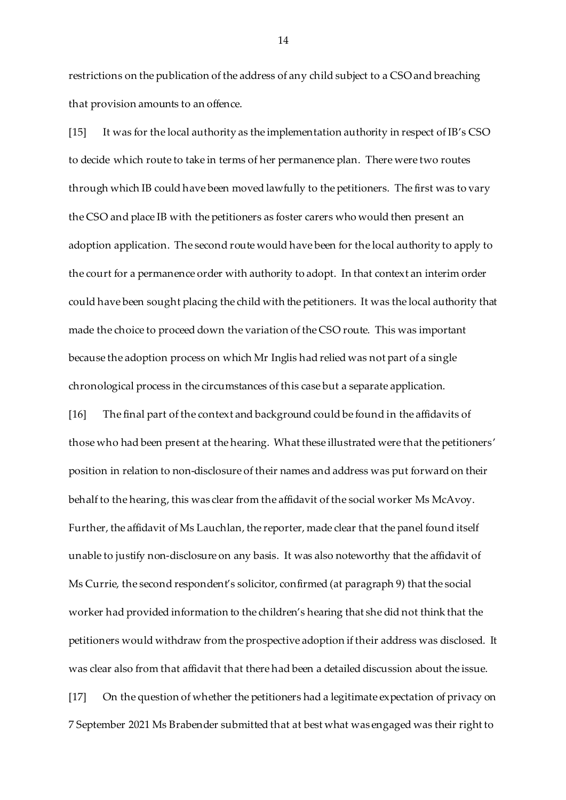restrictions on the publication of the address of any child subject to a CSO and breaching that provision amounts to an offence.

[15] It was for the local authority as the implementation authority in respect of IB's CSO to decide which route to take in terms of her permanence plan. There were two routes through which IB could have been moved lawfully to the petitioners. The first was to vary the CSO and place IB with the petitioners as foster carers who would then present an adoption application. The second route would have been for the local authority to apply to the court for a permanence order with authority to adopt. In that context an interim order could have been sought placing the child with the petitioners. It was the local authority that made the choice to proceed down the variation of the CSO route. This was important because the adoption process on which Mr Inglis had relied was not part of a single chronological process in the circumstances of this case but a separate application.

[16] The final part of the context and background could be found in the affidavits of those who had been present at the hearing. What these illustrated were that the petitioners' position in relation to non-disclosure of their names and address was put forward on their behalf to the hearing, this was clear from the affidavit of the social worker Ms McAvoy. Further, the affidavit of Ms Lauchlan, the reporter, made clear that the panel found itself unable to justify non-disclosure on any basis. It was also noteworthy that the affidavit of Ms Currie, the second respondent's solicitor, confirmed (at paragraph 9) that the social worker had provided information to the children's hearing that she did not think that the petitioners would withdraw from the prospective adoption if their address was disclosed. It was clear also from that affidavit that there had been a detailed discussion about the issue. [17] On the question of whether the petitioners had a legitimate expectation of privacy on 7 September 2021 Ms Brabender submitted that at best what was engaged was their right to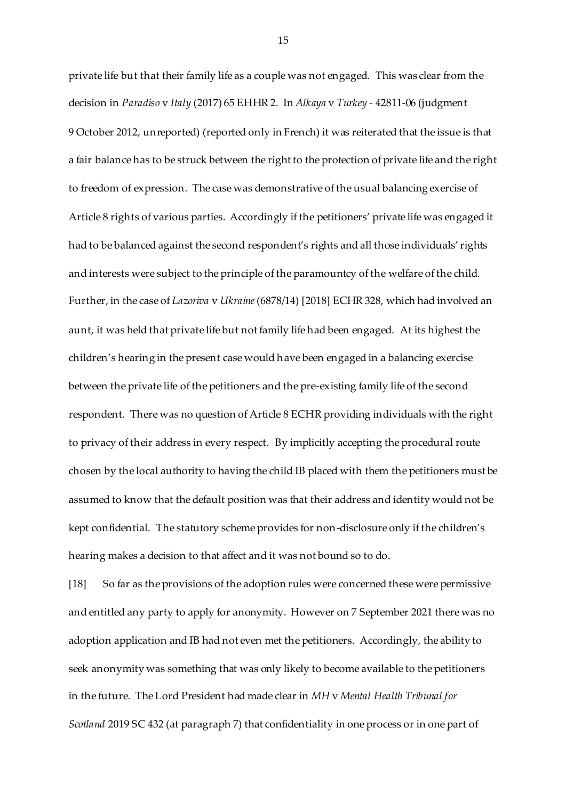private life but that their family life as a couple was not engaged. This was clear from the decision in *Paradiso* v *Italy* (2017) 65 EHHR 2. In *Alkaya* v *Turkey -* 42811-06 (judgment 9 October 2012, unreported) (reported only in French) it was reiterated that the issue is that a fair balance has to be struck between the right to the protection of private life and the right to freedom of expression. The case was demonstrative of the usual balancing exercise of Article 8 rights of various parties. Accordingly if the petitioners' private life was engaged it had to be balanced against the second respondent's rights and all those individuals' rights and interests were subject to the principle of the paramountcy of the welfare of the child. Further, in the case of *Lazoriva* v *Ukraine*(6878/14) [2018] ECHR 328, which had involved an aunt, it was held that private life but not family life had been engaged. At its highest the children's hearing in the present case would have been engaged in a balancing exercise between the private life of the petitioners and the pre-existing family life of the second respondent. There was no question of Article 8 ECHR providing individuals with the right to privacy of their address in every respect. By implicitly accepting the procedural route chosen by the local authority to having the child IB placed with them the petitioners must be assumed to know that the default position was that their address and identity would not be kept confidential. The statutory scheme provides for non-disclosure only if the children's hearing makes a decision to that affect and it was not bound so to do.

[18] So far as the provisions of the adoption rules were concerned these were permissive and entitled any party to apply for anonymity. However on 7 September 2021 there was no adoption application and IB had not even met the petitioners. Accordingly, the ability to seek anonymity was something that was only likely to become available to the petitioners in the future. The Lord President had made clear in *MH* v *Mental Health Tribunal for Scotland* 2019 SC 432 (at paragraph 7) that confidentiality in one process or in one part of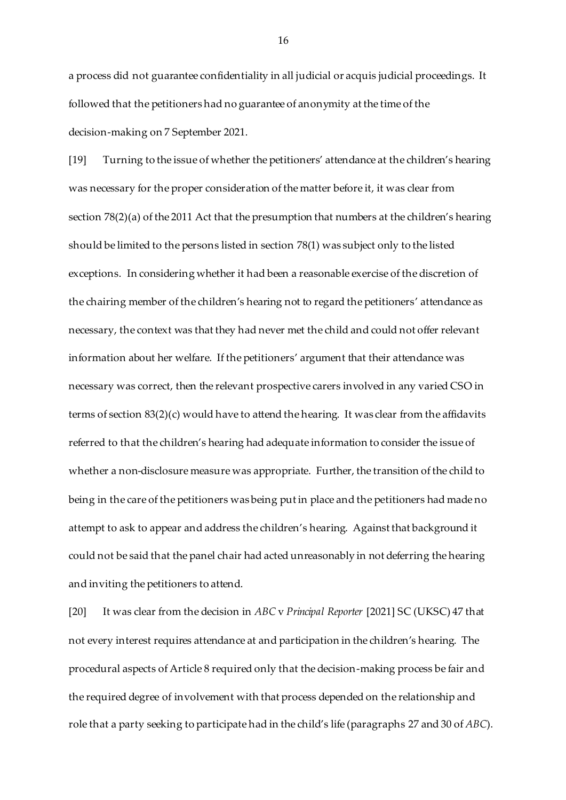a process did not guarantee confidentiality in all judicial or acquis judicial proceedings. It followed that the petitioners had no guarantee of anonymity at the time of the decision-making on 7 September 2021.

[19] Turning to the issue of whether the petitioners' attendance at the children's hearing was necessary for the proper consideration of the matter before it, it was clear from section 78(2)(a) of the 2011 Act that the presumption that numbers at the children's hearing should be limited to the persons listed in section 78(1) was subject only to the listed exceptions. In considering whether it had been a reasonable exercise of the discretion of the chairing member of the children's hearing not to regard the petitioners' attendance as necessary, the context was that they had never met the child and could not offer relevant information about her welfare. If the petitioners' argument that their attendance was necessary was correct, then the relevant prospective carers involved in any varied CSO in terms of section 83(2)(c) would have to attend the hearing. It was clear from the affidavits referred to that the children's hearing had adequate information to consider the issue of whether a non-disclosure measure was appropriate. Further, the transition of the child to being in the care of the petitioners was being put in place and the petitioners had made no attempt to ask to appear and address the children's hearing. Against that background it could not be said that the panel chair had acted unreasonably in not deferring the hearing and inviting the petitioners to attend.

[20] It was clear from the decision in *ABC* v *Principal Reporter* [2021] SC (UKSC) 47 that not every interest requires attendance at and participation in the children's hearing. The procedural aspects of Article 8 required only that the decision-making process be fair and the required degree of involvement with that process depended on the relationship and role that a party seeking to participate had in the child's life (paragraphs 27 and 30 of *ABC*).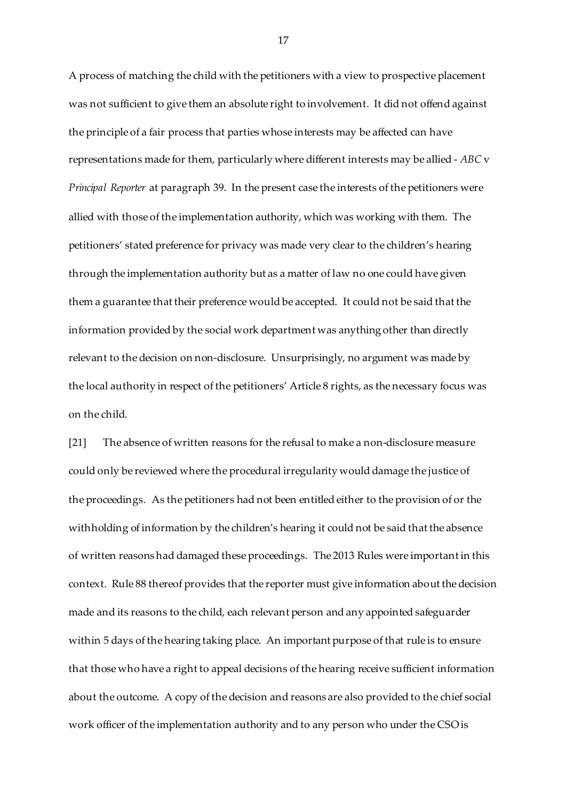A process of matching the child with the petitioners with a view to prospective placement was not sufficient to give them an absolute right to involvement. It did not offend against the principle of a fair process that parties whose interests may be affected can have representations made for them, particularly where different interests may be allied - *ABC* v *Principal Reporter* at paragraph 39. In the present case the interests of the petitioners were allied with those of the implementation authority, which was working with them. The petitioners' stated preference for privacy was made very clear to the children's hearing through the implementation authority but as a matter of law no one could have given them a guarantee that their preference would be accepted. It could not be said that the information provided by the social work department was anything other than directly relevant to the decision on non-disclosure. Unsurprisingly, no argument was made by the local authority in respect of the petitioners' Article 8 rights, as the necessary focus was on the child.

[21] The absence of written reasons for the refusal to make a non-disclosure measure could only be reviewed where the procedural irregularity would damage the justice of the proceedings. As the petitioners had not been entitled either to the provision of or the withholding of information by the children's hearing it could not be said that the absence of written reasons had damaged these proceedings. The 2013 Rules were important in this context. Rule 88 thereof provides that the reporter must give information about the decision made and its reasons to the child, each relevant person and any appointed safeguarder within 5 days of the hearing taking place. An important purpose of that rule is to ensure that those who have a right to appeal decisions of the hearing receive sufficient information about the outcome. A copy of the decision and reasons are also provided to the chief social work officer of the implementation authority and to any person who under the CSO is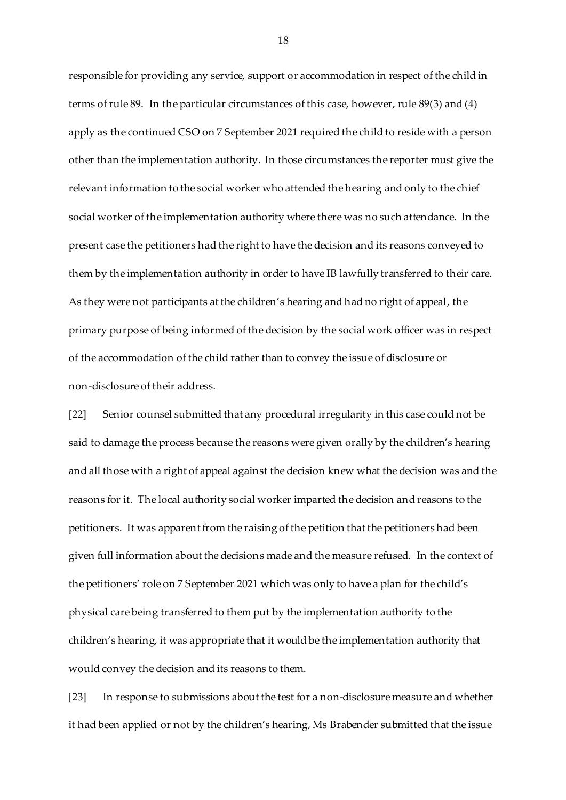responsible for providing any service, support or accommodation in respect of the child in terms of rule 89. In the particular circumstances of this case, however, rule 89(3) and (4) apply as the continued CSO on 7 September 2021 required the child to reside with a person other than the implementation authority. In those circumstances the reporter must give the relevant information to the social worker who attended the hearing and only to the chief social worker of the implementation authority where there was no such attendance. In the present case the petitioners had the right to have the decision and its reasons conveyed to them by the implementation authority in order to have IB lawfully transferred to their care. As they were not participants at the children's hearing and had no right of appeal, the primary purpose of being informed of the decision by the social work officer was in respect of the accommodation of the child rather than to convey the issue of disclosure or non-disclosure of their address.

[22] Senior counsel submitted that any procedural irregularity in this case could not be said to damage the process because the reasons were given orally by the children's hearing and all those with a right of appeal against the decision knew what the decision was and the reasons for it. The local authority social worker imparted the decision and reasons to the petitioners. It was apparent from the raising of the petition that the petitioners had been given full information about the decisions made and the measure refused. In the context of the petitioners' role on 7 September 2021 which was only to have a plan for the child's physical care being transferred to them put by the implementation authority to the children's hearing, it was appropriate that it would be the implementation authority that would convey the decision and its reasons to them.

[23] In response to submissions about the test for a non-disclosure measure and whether it had been applied or not by the children's hearing, Ms Brabender submitted that the issue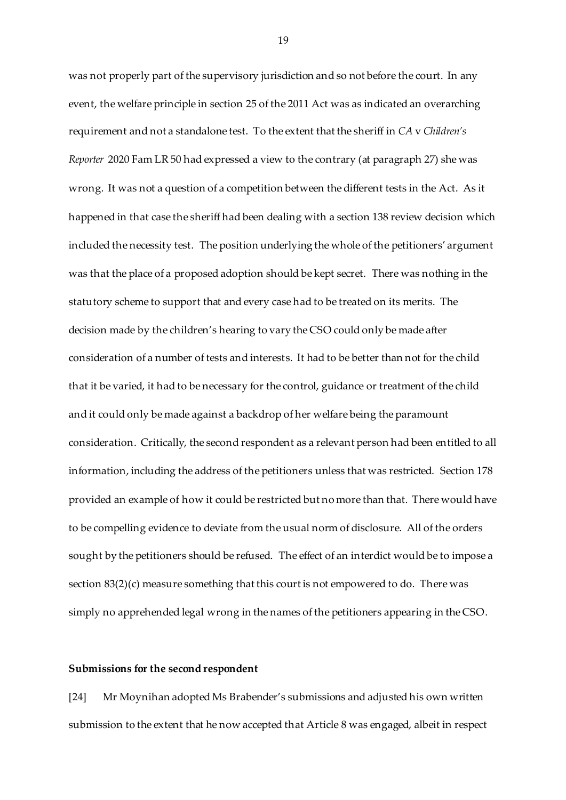was not properly part of the supervisory jurisdiction and so not before the court. In any event, the welfare principle in section 25 of the 2011 Act was as indicated an overarching requirement and not a standalone test. To the extent that the sheriff in *CA* v *Children's Reporter* 2020 Fam LR 50 had expressed a view to the contrary (at paragraph 27) she was wrong. It was not a question of a competition between the different tests in the Act. As it happened in that case the sheriff had been dealing with a section 138 review decision which included the necessity test. The position underlying the whole of the petitioners' argument was that the place of a proposed adoption should be kept secret. There was nothing in the statutory scheme to support that and every case had to be treated on its merits. The decision made by the children's hearing to vary the CSO could only be made after consideration of a number of tests and interests. It had to be better than not for the child that it be varied, it had to be necessary for the control, guidance or treatment of the child and it could only be made against a backdrop of her welfare being the paramount consideration. Critically, the second respondent as a relevant person had been entitled to all information, including the address of the petitioners unless that was restricted. Section 178 provided an example of how it could be restricted but no more than that. There would have to be compelling evidence to deviate from the usual norm of disclosure. All of the orders sought by the petitioners should be refused. The effect of an interdict would be to impose a section  $83(2)(c)$  measure something that this court is not empowered to do. There was simply no apprehended legal wrong in the names of the petitioners appearing in the CSO.

#### **Submissions for the second respondent**

[24] Mr Moynihan adopted Ms Brabender's submissions and adjusted his own written submission to the extent that he now accepted that Article 8 was engaged, albeit in respect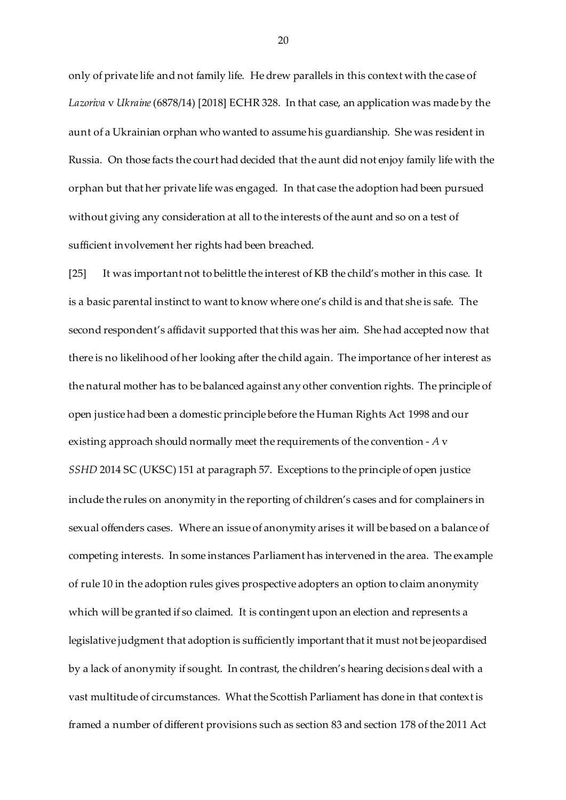only of private life and not family life. He drew parallels in this context with the case of *Lazoriva* v *Ukraine*(6878/14) [2018] ECHR 328. In that case, an application was made by the aunt of a Ukrainian orphan who wanted to assume his guardianship. She was resident in Russia. On those facts the court had decided that the aunt did not enjoy family life with the orphan but that her private life was engaged. In that case the adoption had been pursued without giving any consideration at all to the interests of the aunt and so on a test of sufficient involvement her rights had been breached.

[25] It was important not to belittle the interest of KB the child's mother in this case. It is a basic parental instinct to want to know where one's child is and that she is safe. The second respondent's affidavit supported that this was her aim. She had accepted now that there is no likelihood of her looking after the child again. The importance of her interest as the natural mother has to be balanced against any other convention rights. The principle of open justice had been a domestic principle before the Human Rights Act 1998 and our existing approach should normally meet the requirements of the convention - *A* v *SSHD* 2014 SC (UKSC) 151 at paragraph 57. Exceptions to the principle of open justice include the rules on anonymity in the reporting of children's cases and for complainers in sexual offenders cases. Where an issue of anonymity arises it will be based on a balance of competing interests. In some instances Parliament has intervened in the area. The example of rule 10 in the adoption rules gives prospective adopters an option to claim anonymity which will be granted if so claimed. It is contingent upon an election and represents a legislative judgment that adoption is sufficiently important that it must not be jeopardised by a lack of anonymity if sought. In contrast, the children's hearing decisionsdeal with a vast multitude of circumstances. What the Scottish Parliament has done in that context is framed a number of different provisions such as section 83 and section 178 of the 2011 Act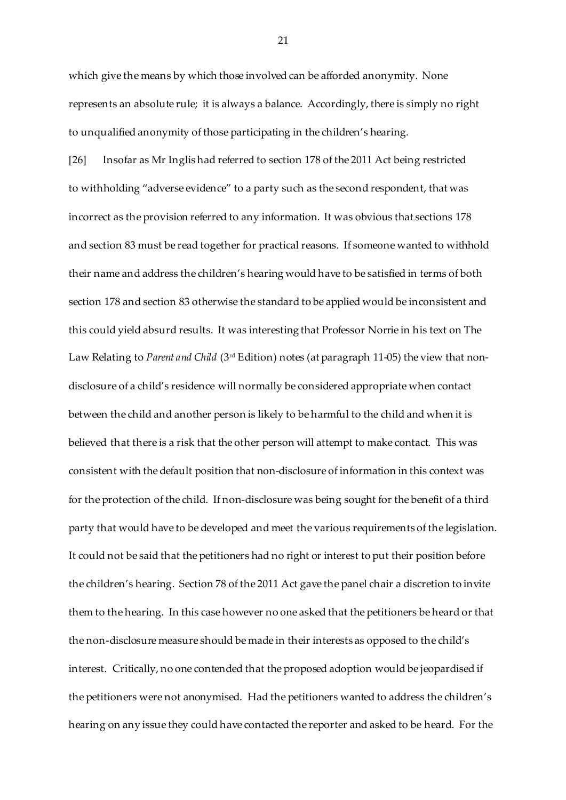which give the means by which those involved can be afforded anonymity. None represents an absolute rule; it is always a balance. Accordingly, there is simply no right to unqualified anonymity of those participating in the children's hearing.

[26] Insofar as Mr Inglis had referred to section 178 of the 2011 Act being restricted to withholding "adverse evidence" to a party such as the second respondent, that was incorrect as the provision referred to any information. It was obvious that sections 178 and section 83 must be read together for practical reasons. If someone wanted to withhold their name and address the children's hearing would have to be satisfied in terms of both section 178 and section 83 otherwise the standard to be applied would be inconsistent and this could yield absurd results. It was interesting that Professor Norrie in his text on The Law Relating to *Parent and Child* (3rd Edition) notes (at paragraph 11-05) the view that nondisclosure of a child's residence will normally be considered appropriate when contact between the child and another person is likely to be harmful to the child and when it is believed that there is a risk that the other person will attempt to make contact. This was consistent with the default position that non-disclosure of information in this context was for the protection of the child. If non-disclosure was being sought for the benefit of a third party that would have to be developed and meet the various requirements of the legislation. It could not be said that the petitioners had no right or interest to put their position before the children's hearing. Section 78 of the 2011 Act gave the panel chair a discretion to invite them to the hearing. In this case however no one asked that the petitioners be heard or that the non-disclosure measure should be made in their interests as opposed to the child's interest. Critically, no one contended that the proposed adoption would be jeopardised if the petitioners were not anonymised. Had the petitioners wanted to address the children's hearing on any issue they could have contacted the reporter and asked to be heard. For the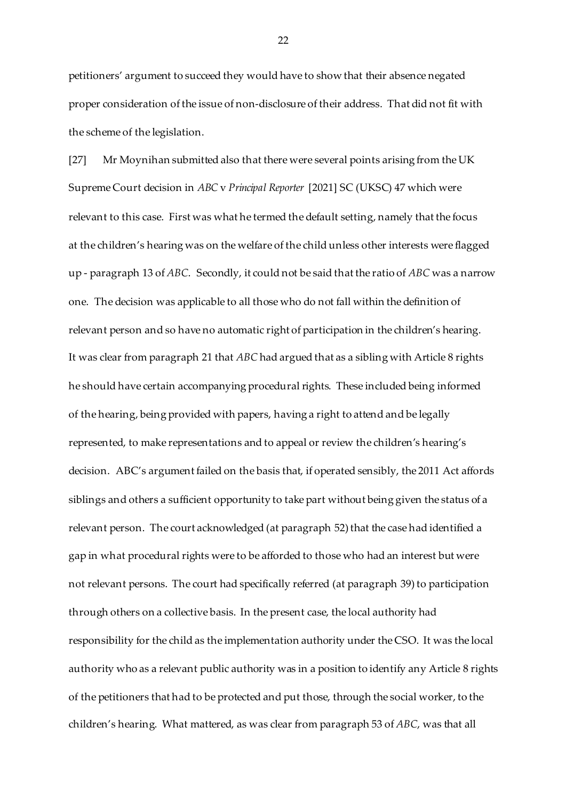petitioners' argument to succeed they would have to show that their absence negated proper consideration of the issue of non-disclosure of their address. That did not fit with the scheme of the legislation.

[27] Mr Moynihan submitted also that there were several points arising from the UK Supreme Court decision in *ABC* v *Principal Reporter* [2021] SC (UKSC) 47 which were relevant to this case. First was what he termed the default setting, namely that the focus at the children's hearing was on the welfare of the child unless other interests were flagged up - paragraph 13 of *ABC*. Secondly, it could not be said that the ratio of *ABC* was a narrow one. The decision was applicable to all those who do not fall within the definition of relevant person and so have no automatic right of participation in the children's hearing. It was clear from paragraph 21 that *ABC* had argued that as a sibling with Article 8 rights he should have certain accompanying procedural rights. These included being informed of the hearing, being provided with papers, having a right to attend and be legally represented, to make representations and to appeal or review the children's hearing's decision. ABC's argument failed on the basis that, if operated sensibly, the 2011 Act affords siblings and others a sufficient opportunity to take part without being given the status of a relevant person. The court acknowledged (at paragraph 52) that the case had identified a gap in what procedural rights were to be afforded to those who had an interest but were not relevant persons. The court had specifically referred (at paragraph 39) to participation through others on a collective basis. In the present case, the local authority had responsibility for the child as the implementation authority under the CSO. It was the local authority who as a relevant public authority was in a position to identify any Article 8 rights of the petitioners that had to be protected and put those, through the social worker, to the children's hearing. What mattered, as was clear from paragraph 53 of *ABC*, was that all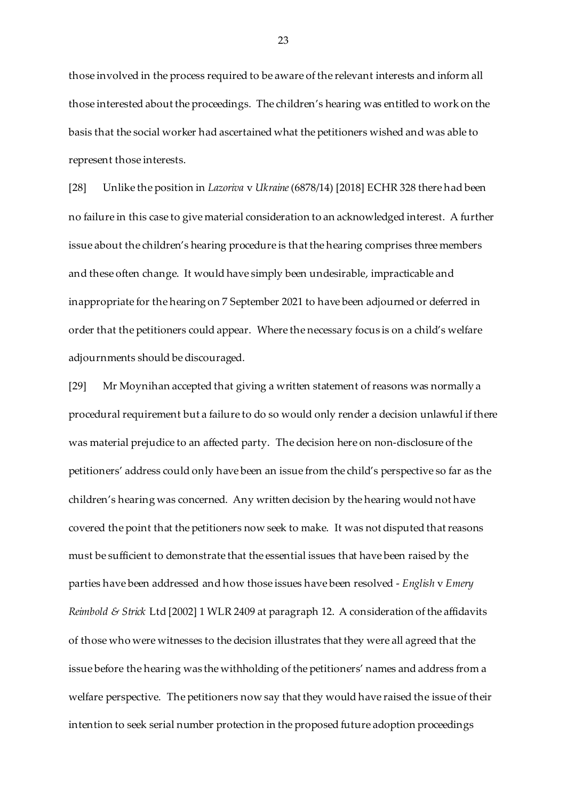those involved in the process required to be aware of the relevant interests and inform all those interested about the proceedings. The children's hearing was entitled to work on the basis that the social worker had ascertained what the petitioners wished and was able to represent those interests.

[28] Unlike the position in *Lazoriva* v *Ukraine*(6878/14) [2018] ECHR 328 there had been no failure in this case to give material consideration to an acknowledged interest. A further issue about the children's hearing procedure is that the hearing comprises three members and these often change. It would have simply been undesirable, impracticable and inappropriate for the hearing on 7 September 2021 to have been adjourned or deferred in order that the petitioners could appear. Where the necessary focus is on a child's welfare adjournments should be discouraged.

[29] Mr Moynihan accepted that giving a written statement of reasons was normally a procedural requirement but a failure to do so would only render a decision unlawful if there was material prejudice to an affected party. The decision here on non-disclosure of the petitioners' address could only have been an issue from the child's perspective so far as the children's hearing was concerned. Any written decision by the hearing would not have covered the point that the petitioners now seek to make. It was not disputed that reasons must be sufficient to demonstrate that the essential issues that have been raised by the parties have been addressed and how those issues have been resolved - *English* v *Emery Reimbold & Strick* Ltd [2002] 1 WLR 2409 at paragraph 12. A consideration of the affidavits of those who were witnesses to the decision illustrates that they were all agreed that the issue before the hearing was the withholding of the petitioners' names and address from a welfare perspective. The petitioners now say that they would have raised the issue of their intention to seek serial number protection in the proposed future adoption proceedings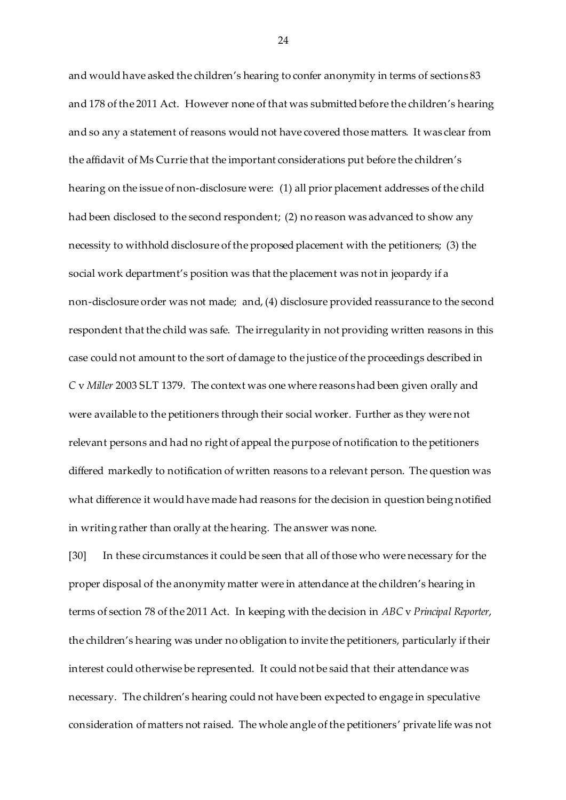and would have asked the children's hearing to confer anonymity in terms of sections 83 and 178 of the 2011 Act. However none of that was submitted before the children's hearing and so any a statement of reasons would not have covered those matters. It was clear from the affidavit of Ms Currie that the important considerations put before the children's hearing on the issue of non-disclosure were: (1) all prior placement addresses of the child had been disclosed to the second respondent; (2) no reason was advanced to show any necessity to withhold disclosure of the proposed placement with the petitioners; (3) the social work department's position was that the placement was not in jeopardy if a non-disclosure order was not made; and, (4) disclosure provided reassurance to the second respondent that the child was safe. The irregularity in not providing written reasons in this case could not amount to the sort of damage to the justice of the proceedings described in *C* v *Miller* 2003 SLT 1379. The context was one where reasons had been given orally and were available to the petitioners through their social worker. Further as they were not relevant persons and had no right of appeal the purpose of notification to the petitioners differed markedly to notification of written reasons to a relevant person. The question was what difference it would have made had reasons for the decision in question being notified in writing rather than orally at the hearing. The answer was none.

[30] In these circumstances it could be seen that all of those who were necessary for the proper disposal of the anonymity matter were in attendance at the children's hearing in terms of section 78 of the 2011 Act. In keeping with the decision in *ABC* v *Principal Reporter*, the children's hearing was under no obligation to invite the petitioners, particularly if their interest could otherwise be represented. It could not be said that their attendance was necessary. The children's hearing could not have been expected to engage in speculative consideration of matters not raised. The whole angle of the petitioners' private life was not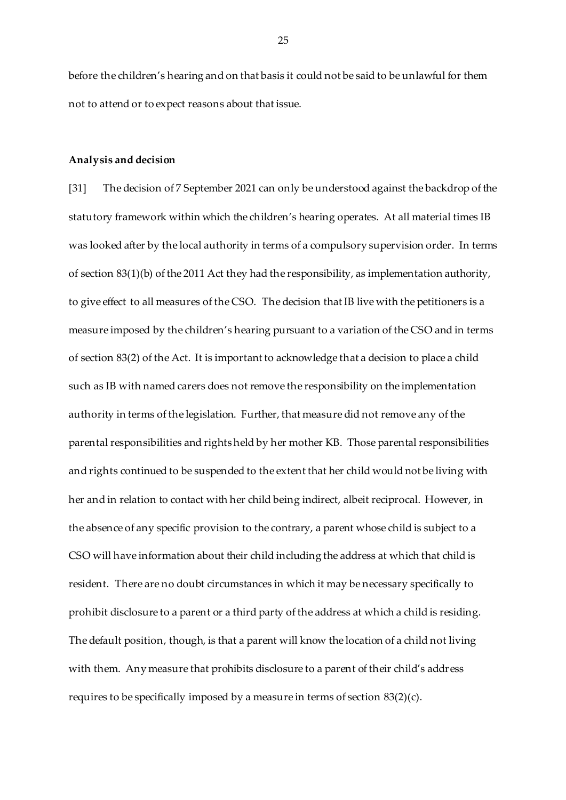before the children's hearing and on that basis it could not be said to be unlawful for them not to attend or to expect reasons about that issue.

#### **Analysis and decision**

[31] The decision of 7 September 2021 can only be understood against the backdrop of the statutory framework within which the children's hearing operates. At all material times IB was looked after by the local authority in terms of a compulsory supervision order. In terms of section 83(1)(b) of the 2011 Act they had the responsibility, as implementation authority, to give effect to all measures of the CSO. The decision that IB live with the petitioners is a measure imposed by the children's hearing pursuant to a variation of the CSO and in terms of section 83(2) of the Act. It is important to acknowledge that a decision to place a child such as IB with named carers does not remove the responsibility on the implementation authority in terms of the legislation. Further, that measure did not remove any of the parental responsibilities and rights held by her mother KB. Those parental responsibilities and rights continued to be suspended to the extent that her child would not be living with her and in relation to contact with her child being indirect, albeit reciprocal. However, in the absence of any specific provision to the contrary, a parent whose child is subject to a CSO will have information about their child including the address at which that child is resident. There are no doubt circumstances in which it may be necessary specifically to prohibit disclosure to a parent or a third party of the address at which a child is residing. The default position, though, is that a parent will know the location of a child not living with them. Any measure that prohibits disclosure to a parent of their child's address requires to be specifically imposed by a measure in terms of section 83(2)(c).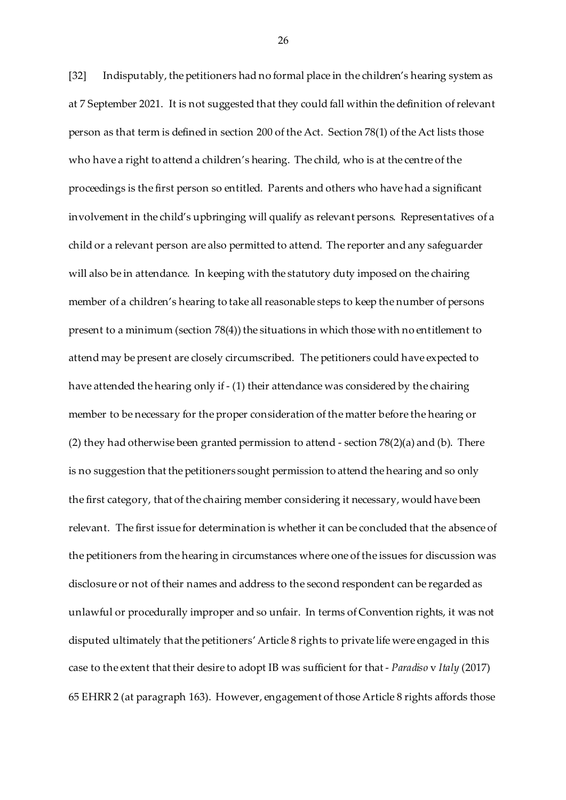[32] Indisputably, the petitioners had no formal place in the children's hearing system as at 7 September 2021. It is not suggested that they could fall within the definition of relevant person as that term is defined in section 200 of the Act. Section 78(1) of the Act lists those who have a right to attend a children's hearing. The child, who is at the centre of the proceedings is the first person so entitled. Parents and others who have had a significant involvement in the child's upbringing will qualify as relevant persons. Representatives of a child or a relevant person are also permitted to attend. The reporter and any safeguarder will also be in attendance. In keeping with the statutory duty imposed on the chairing member of a children's hearing to take all reasonable steps to keep the number of persons present to a minimum (section 78(4)) the situations in which those with no entitlement to attend may be present are closely circumscribed. The petitioners could have expected to have attended the hearing only if - (1) their attendance was considered by the chairing member to be necessary for the proper consideration of the matter before the hearing or (2) they had otherwise been granted permission to attend - section 78(2)(a) and (b). There is no suggestion that the petitioners sought permission to attend the hearing and so only the first category, that of the chairing member considering it necessary, would have been relevant. The first issue for determination is whether it can be concluded that the absence of the petitioners from the hearing in circumstances where one of the issues for discussion was disclosure or not of their names and address to the second respondent can be regarded as unlawful or procedurally improper and so unfair. In terms of Convention rights, it was not disputed ultimately that the petitioners'Article 8 rights to private life were engaged in this case to the extent that their desire to adopt IB was sufficient for that - *Paradiso* v *Italy* (2017) 65 EHRR 2 (at paragraph 163). However, engagement of those Article 8 rights affords those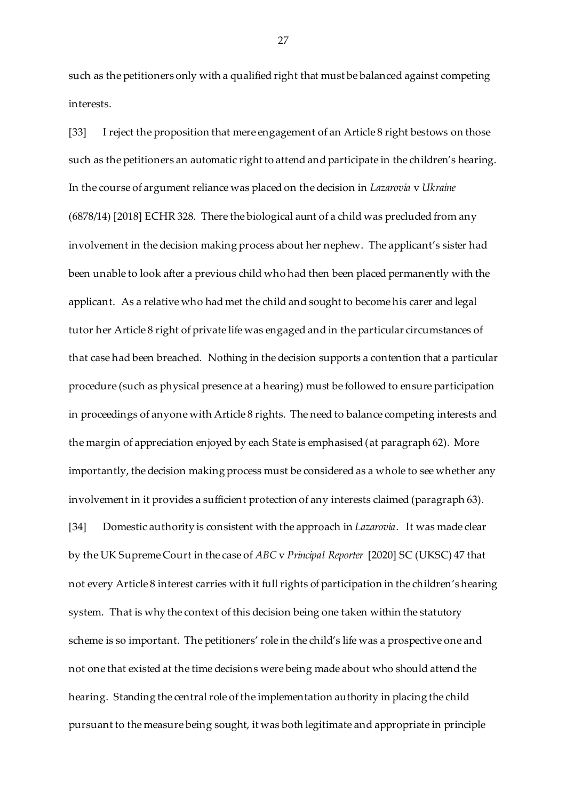such as the petitioners only with a qualified right that must be balanced against competing interests.

[33] I reject the proposition that mere engagement of an Article 8 right bestows on those such as the petitioners an automatic right to attend and participate in the children's hearing. In the course of argument reliance was placed on the decision in *Lazarovia* v *Ukraine* (6878/14) [2018] ECHR 328*.* There the biological aunt of a child was precluded from any involvement in the decision making process about her nephew. The applicant's sister had been unable to look after a previous child who had then been placed permanently with the applicant. As a relative who had met the child and sought to become his carer and legal tutor her Article 8 right of private life was engaged and in the particular circumstances of that case had been breached. Nothing in the decision supports a contention that a particular procedure (such as physical presence at a hearing) must be followed to ensure participation in proceedings of anyone with Article 8 rights. The need to balance competing interests and the margin of appreciation enjoyed by each State is emphasised (at paragraph 62). More importantly, the decision making process must be considered as a whole to see whether any involvement in it provides a sufficient protection of any interests claimed (paragraph 63). [34] Domestic authority is consistent with the approach in *Lazarovia*. It was made clear by the UK Supreme Court in the case of *ABC* v *Principal Reporter* [2020] SC (UKSC) 47 that not every Article 8 interest carries with it full rights of participation in the children's hearing system. That is why the context of this decision being one taken within the statutory scheme is so important. The petitioners' role in the child's life was a prospective one and not one that existed at the time decisions were being made about who should attend the hearing. Standing the central role of the implementation authority in placing the child pursuant to the measure being sought, it was both legitimate and appropriate in principle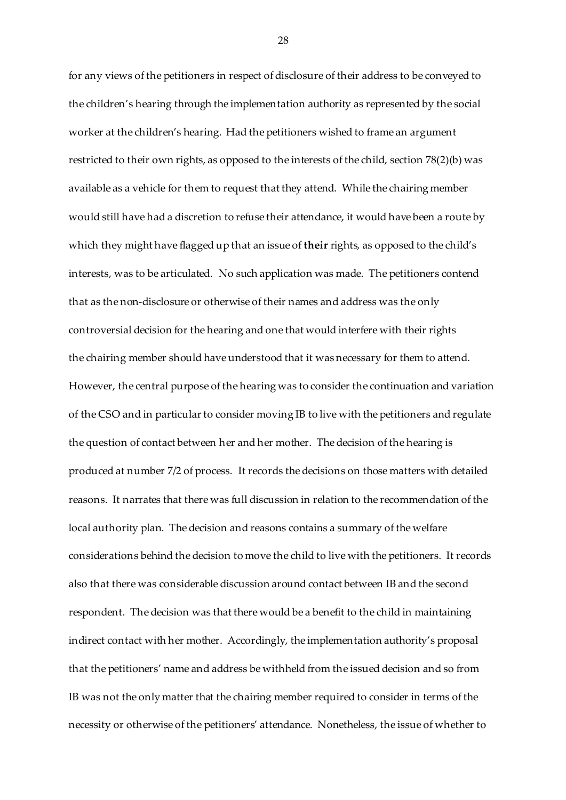for any views of the petitioners in respect of disclosure of their address to be conveyed to the children's hearing through the implementation authority as represented by the social worker at the children's hearing. Had the petitioners wished to frame an argument restricted to their own rights, as opposed to the interests of the child, section 78(2)(b) was available as a vehicle for them to request that they attend. While the chairing member would still have had a discretion to refuse their attendance, it would have been a route by which they might have flagged up that an issue of **their** rights, as opposed to the child's interests, was to be articulated. No such application was made. The petitioners contend that as the non-disclosure or otherwise of their names and address was the only controversial decision for the hearing and one that would interfere with their rights the chairing member should have understood that it was necessary for them to attend. However, the central purpose of the hearing was to consider the continuation and variation of the CSO and in particular to consider moving IB to live with the petitioners and regulate the question of contact between her and her mother. The decision of the hearing is produced at number 7/2 of process. It records the decisions on those matters with detailed reasons. It narrates that there was full discussion in relation to the recommendation of the local authority plan. The decision and reasons contains a summary of the welfare considerations behind the decision to move the child to live with the petitioners. It records also that there was considerable discussion around contact between IB and the second respondent. The decision was that there would be a benefit to the child in maintaining indirect contact with her mother. Accordingly, the implementation authority's proposal that the petitioners' name and address be withheld from the issued decision and so from IB was not the only matter that the chairing member required to consider in terms of the necessity or otherwise of the petitioners' attendance. Nonetheless, the issue of whether to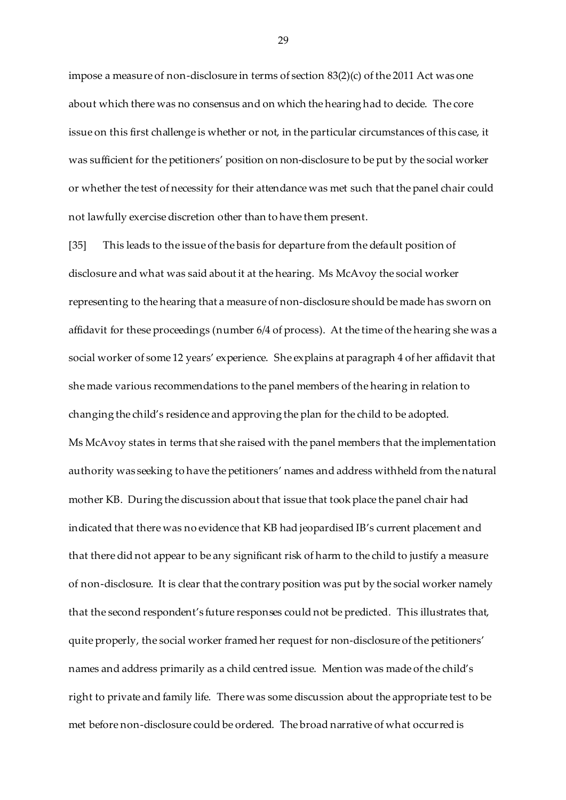impose a measure of non-disclosure in terms of section 83(2)(c) of the 2011 Act was one about which there was no consensus and on which the hearing had to decide. The core issue on this first challenge is whether or not, in the particular circumstances of this case, it was sufficient for the petitioners' position on non-disclosure to be put by the social worker or whether the test of necessity for their attendance was met such that the panel chair could not lawfully exercise discretion other than to have them present.

[35] This leads to the issue of the basis for departure from the default position of disclosure and what was said about it at the hearing. Ms McAvoy the social worker representing to the hearing that a measure of non-disclosure should be made has sworn on affidavit for these proceedings (number 6/4 of process). At the time of the hearing she was a social worker of some 12 years' experience. She explains at paragraph 4 of her affidavit that she made various recommendations to the panel members of the hearing in relation to changing the child's residence and approving the plan for the child to be adopted. Ms McAvoy states in terms that she raised with the panel members that the implementation authority was seeking to have the petitioners' names and address withheld from the natural mother KB. During the discussion about that issue that took place the panel chair had indicated that there was no evidence that KB had jeopardised IB's current placement and that there did not appear to be any significant risk of harm to the child to justify a measure of non-disclosure. It is clear that the contrary position was put by the social worker namely that the second respondent's future responses could not be predicted. This illustrates that, quite properly, the social worker framed her request for non-disclosure of the petitioners' names and address primarily as a child centred issue. Mention was made of the child's right to private and family life. There was some discussion about the appropriate test to be met before non-disclosure could be ordered. The broad narrative of what occurred is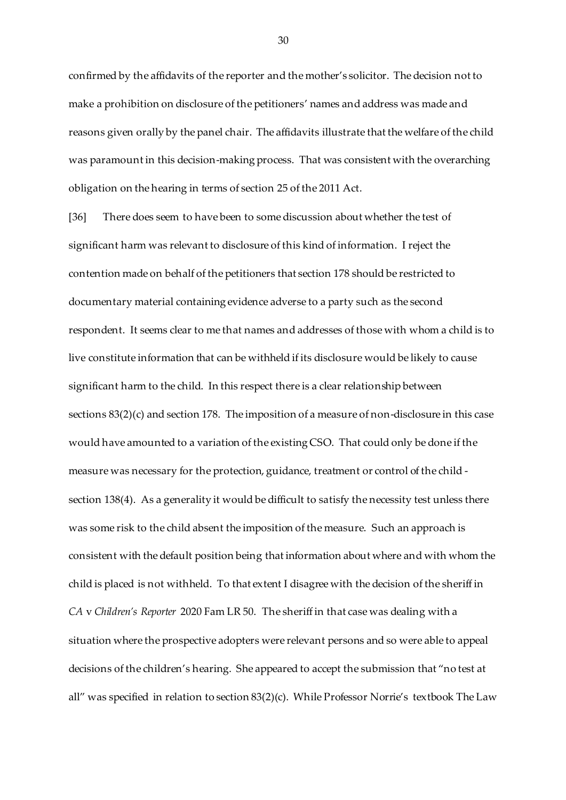confirmed by the affidavits of the reporter and the mother's solicitor. The decision not to make a prohibition on disclosure of the petitioners' names and address was made and reasons given orally by the panel chair. The affidavits illustrate that the welfare of the child was paramount in this decision-making process. That was consistent with the overarching obligation on the hearing in terms of section 25 of the 2011 Act.

[36] There does seem to have been to some discussion about whether the test of significant harm was relevant to disclosure of this kind of information. I reject the contention made on behalf of the petitioners that section 178 should be restricted to documentary material containing evidence adverse to a party such as the second respondent. It seems clear to me that names and addresses of those with whom a child is to live constitute information that can be withheld if its disclosure would be likely to cause significant harm to the child. In this respect there is a clear relationship between sections 83(2)(c) and section 178. The imposition of a measure of non-disclosure in this case would have amounted to a variation of the existing CSO. That could only be done if the measure was necessary for the protection, guidance, treatment or control of the child section 138(4). As a generality it would be difficult to satisfy the necessity test unless there was some risk to the child absent the imposition of the measure. Such an approach is consistent with the default position being that information about where and with whom the child is placed is not withheld. To that extent I disagree with the decision of the sheriff in *CA* v *Children's Reporter* 2020 Fam LR 50. The sheriff in that case was dealing with a situation where the prospective adopters were relevant persons and so were able to appeal decisions of the children's hearing. She appeared to accept the submission that "no test at all" was specified in relation to section 83(2)(c). While Professor Norrie's textbook The Law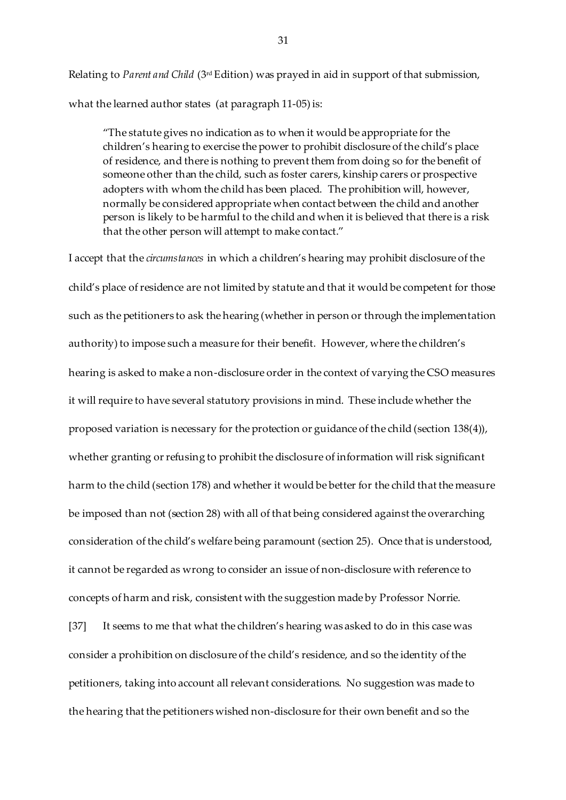Relating to *Parent and Child* (3rd Edition) was prayed in aid in support of that submission, what the learned author states (at paragraph 11-05) is:

"The statute gives no indication as to when it would be appropriate for the children's hearing to exercise the power to prohibit disclosure of the child's place of residence, and there is nothing to prevent them from doing so for the benefit of someone other than the child, such as foster carers, kinship carers or prospective adopters with whom the child has been placed. The prohibition will, however, normally be considered appropriate when contact between the child and another person is likely to be harmful to the child and when it is believed that there is a risk that the other person will attempt to make contact."

I accept that the *circumstances* in which a children's hearing may prohibit disclosure of the child's place of residence are not limited by statute and that it would be competent for those such as the petitioners to ask the hearing (whether in person or through the implementation authority) to impose such a measure for their benefit. However, where the children's hearing is asked to make a non-disclosure order in the context of varying the CSO measures it will require to have several statutory provisions in mind. These include whether the proposed variation is necessary for the protection or guidance of the child (section 138(4)), whether granting or refusing to prohibit the disclosure of information will risk significant harm to the child (section 178) and whether it would be better for the child that the measure be imposed than not (section 28) with all of that being considered against the overarching consideration of the child's welfare being paramount (section 25). Once that is understood, it cannot be regarded as wrong to consider an issue of non-disclosure with reference to concepts of harm and risk, consistent with the suggestion made by Professor Norrie. [37] It seems to me that what the children's hearing was asked to do in this case was consider a prohibition on disclosure of the child's residence, and so the identity of the petitioners, taking into account all relevant considerations. No suggestion was made to the hearing that the petitioners wished non-disclosure for their own benefit and so the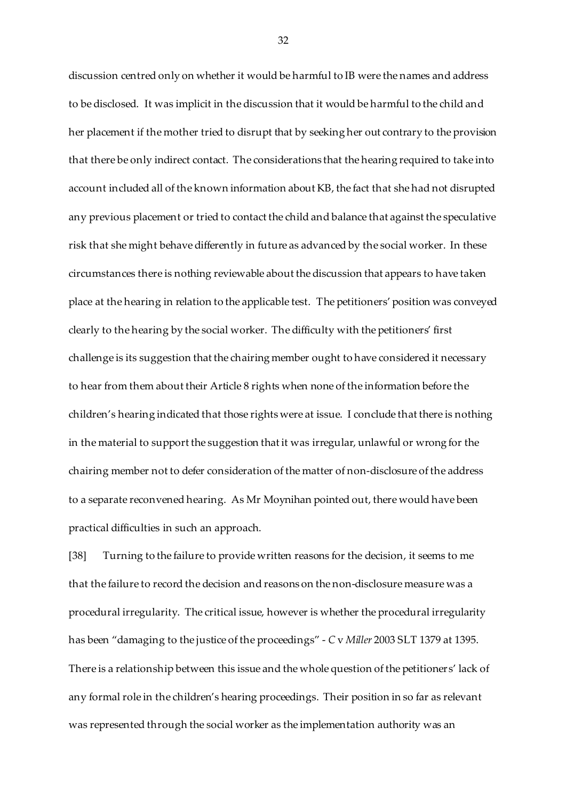discussion centred only on whether it would be harmful to IB were the names and address to be disclosed. It was implicit in the discussion that it would be harmful to the child and her placement if the mother tried to disrupt that by seeking her out contrary to the provision that there be only indirect contact. The considerations that the hearing required to take into account included all of the known information about KB, the fact that she had not disrupted any previous placement or tried to contact the child and balance that against the speculative risk that she might behave differently in future as advanced by the social worker. In these circumstances there is nothing reviewable about the discussion that appears to have taken place at the hearing in relation to the applicable test. The petitioners' position was conveyed clearly to the hearing by the social worker. The difficulty with the petitioners' first challenge is its suggestion that the chairing member ought to have considered it necessary to hear from them about their Article 8 rights when none of the information before the children's hearing indicated that those rights were at issue. I conclude that there is nothing in the material to support the suggestion that it was irregular, unlawful or wrong for the chairing member not to defer consideration of the matter of non-disclosure of the address to a separate reconvened hearing. As Mr Moynihan pointed out, there would have been practical difficulties in such an approach.

[38] Turning to the failure to provide written reasons for the decision, it seems to me that the failure to record the decision and reasons on the non-disclosure measure was a procedural irregularity. The critical issue, however is whether the procedural irregularity has been "damaging to the justice of the proceedings" - *C* v *Miller* 2003 SLT 1379 at 1395. There is a relationship between this issue and the whole question of the petitioners' lack of any formal role in the children's hearing proceedings. Their position in so far as relevant was represented through the social worker as the implementation authority was an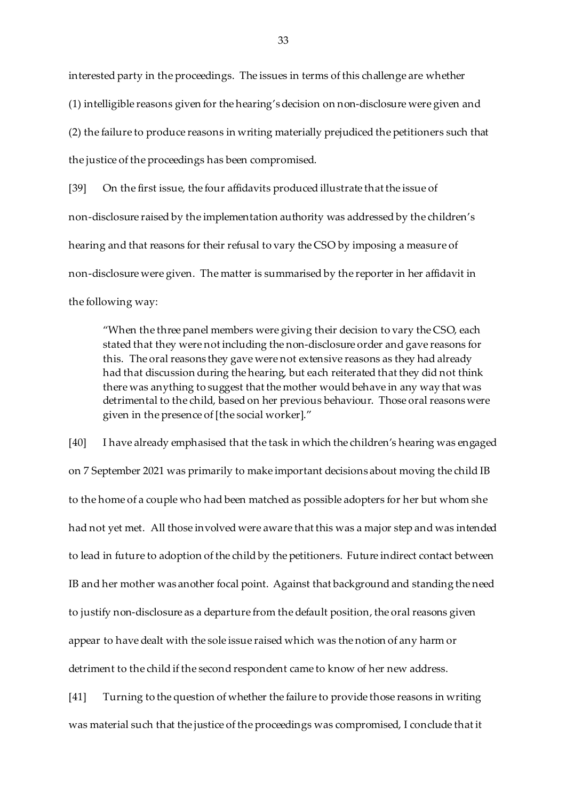interested party in the proceedings. The issues in terms of this challenge are whether (1) intelligible reasons given for the hearing's decision on non-disclosure were given and (2) the failure to produce reasons in writing materially prejudiced the petitioners such that the justice of the proceedings has been compromised.

[39] On the first issue, the four affidavits produced illustrate that the issue of non-disclosure raised by the implementation authority was addressed by the children's hearing and that reasons for their refusal to vary the CSO by imposing a measure of non-disclosure were given. The matter is summarised by the reporter in her affidavit in the following way:

"When the three panel members were giving their decision to vary the CSO, each stated that they were not including the non-disclosure order and gave reasons for this. The oral reasons they gave were not extensive reasons as they had already had that discussion during the hearing, but each reiterated that they did not think there was anything to suggest that the mother would behave in any way that was detrimental to the child, based on her previous behaviour. Those oral reasons were given in the presence of [the social worker]."

[40] I have already emphasised that the task in which the children's hearing was engaged on 7 September 2021 was primarily to make important decisions about moving the child IB to the home of a couple who had been matched as possible adopters for her but whom she had not yet met. All those involved were aware that this was a major step and was intended to lead in future to adoption of the child by the petitioners. Future indirect contact between IB and her mother was another focal point. Against that background and standing the need to justify non-disclosure as a departure from the default position, the oral reasons given appear to have dealt with the sole issue raised which was the notion of any harm or detriment to the child if the second respondent came to know of her new address.

[41] Turning to the question of whether the failure to provide those reasons in writing was material such that the justice of the proceedings was compromised, I conclude that it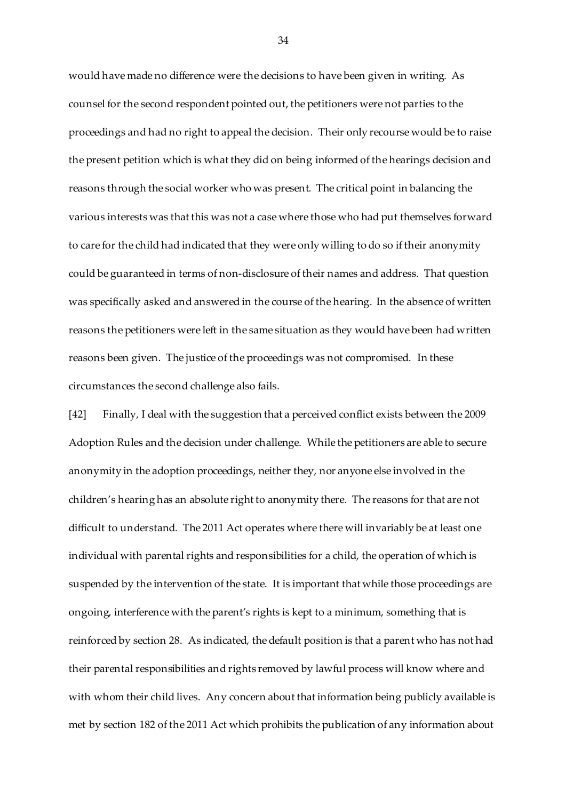would have made no difference were the decisions to have been given in writing. As counsel for the second respondent pointed out, the petitioners were not parties to the proceedings and had no right to appeal the decision. Their only recourse would be to raise the present petition which is what they did on being informed of the hearings decision and reasons through the social worker who was present. The critical point in balancing the various interests was that this was not a case where those who had put themselves forward to care for the child had indicated that they were only willing to do so if their anonymity could be guaranteed in terms of non-disclosure of their names and address. That question was specifically asked and answered in the course of the hearing. In the absence of written reasons the petitioners were left in the same situation as they would have been had written reasons been given. The justice of the proceedings was not compromised. In these circumstances the second challenge also fails.

[42] Finally, I deal with the suggestion that a perceived conflict exists between the 2009 Adoption Rules and the decision under challenge. While the petitioners are able to secure anonymity in the adoption proceedings, neither they, nor anyone else involved in the children's hearing has an absolute right to anonymity there. The reasons for that are not difficult to understand. The 2011 Act operates where there will invariably be at least one individual with parental rights and responsibilities for a child, the operation of which is suspended by the intervention of the state. It is important that while those proceedings are ongoing, interference with the parent's rights is kept to a minimum, something that is reinforced by section 28. As indicated, the default position is that a parent who has not had their parental responsibilities and rights removed by lawful process will know where and with whom their child lives. Any concern about that information being publicly available is met by section 182 of the 2011 Act which prohibits the publication of any information about